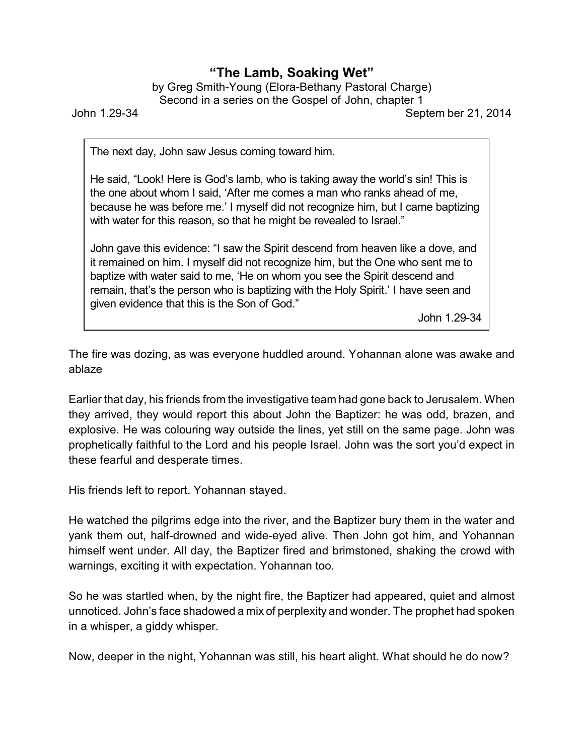## **"The Lamb, Soaking Wet"**

by Greg Smith-Young (Elora-Bethany Pastoral Charge) Second in a series on the Gospel of John, chapter 1

John 1.29-34 Septem ber 21, 2014

The next day, John saw Jesus coming toward him.

He said, "Look! Here is God's lamb, who is taking away the world's sin! This is the one about whom I said, 'After me comes a man who ranks ahead of me, because he was before me.' I myself did not recognize him, but I came baptizing with water for this reason, so that he might be revealed to Israel."

John gave this evidence: "I saw the Spirit descend from heaven like a dove, and it remained on him. I myself did not recognize him, but the One who sent me to baptize with water said to me, 'He on whom you see the Spirit descend and remain, that's the person who is baptizing with the Holy Spirit.' I have seen and given evidence that this is the Son of God."

John 1.29-34

The fire was dozing, as was everyone huddled around. Yohannan alone was awake and ablaze

Earlier that day, his friends from the investigative team had gone back to Jerusalem. When they arrived, they would report this about John the Baptizer: he was odd, brazen, and explosive. He was colouring way outside the lines, yet still on the same page. John was prophetically faithful to the Lord and his people Israel. John was the sort you'd expect in these fearful and desperate times.

His friends left to report. Yohannan stayed.

He watched the pilgrims edge into the river, and the Baptizer bury them in the water and yank them out, half-drowned and wide-eyed alive. Then John got him, and Yohannan himself went under. All day, the Baptizer fired and brimstoned, shaking the crowd with warnings, exciting it with expectation. Yohannan too.

So he was startled when, by the night fire, the Baptizer had appeared, quiet and almost unnoticed. John's face shadowed a mix of perplexity and wonder. The prophet had spoken in a whisper, a giddy whisper.

Now, deeper in the night, Yohannan was still, his heart alight. What should he do now?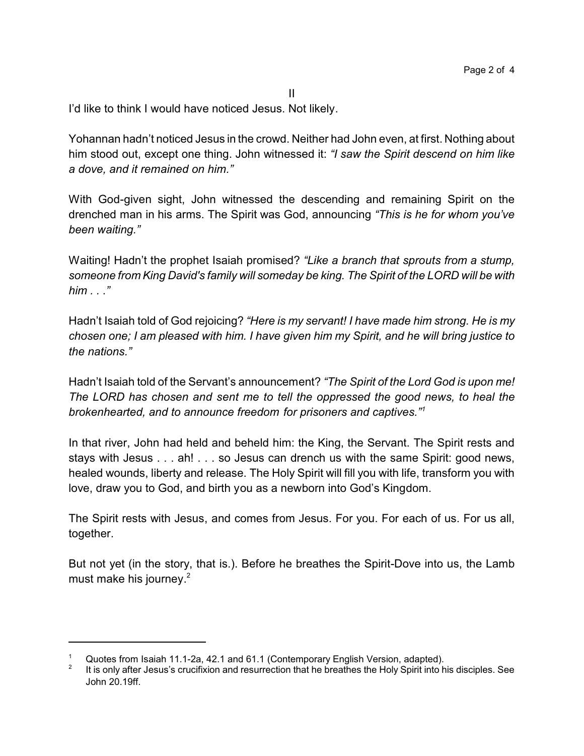I'd like to think I would have noticed Jesus. Not likely.

Yohannan hadn't noticed Jesus in the crowd. Neither had John even, at first. Nothing about him stood out, except one thing. John witnessed it: *"I saw the Spirit descend on him like a dove, and it remained on him."*

II

With God-given sight, John witnessed the descending and remaining Spirit on the drenched man in his arms. The Spirit was God, announcing *"This is he for whom you've been waiting."*

Waiting! Hadn't the prophet Isaiah promised? *"Like a branch that sprouts from a stump, someone from King David's family will someday be king. The Spirit of the LORD will be with him . . ."*

Hadn't Isaiah told of God rejoicing? *"Here is my servant! I have made him strong. He is my chosen one; I am pleased with him. I have given him my Spirit, and he will bring justice to the nations."*

Hadn't Isaiah told of the Servant's announcement? *"The Spirit of the Lord God is upon me! The LORD has chosen and sent me to tell the oppressed the good news, to heal the brokenhearted, and to announce freedom for prisoners and captives."<sup>1</sup>*

In that river, John had held and beheld him: the King, the Servant. The Spirit rests and stays with Jesus . . . ah! . . . so Jesus can drench us with the same Spirit: good news, healed wounds, liberty and release. The Holy Spirit will fill you with life, transform you with love, draw you to God, and birth you as a newborn into God's Kingdom.

The Spirit rests with Jesus, and comes from Jesus. For you. For each of us. For us all, together.

But not yet (in the story, that is.). Before he breathes the Spirit-Dove into us, the Lamb must make his journey.<sup>2</sup>

Quotes from Isaiah 11.1-2a, 42.1 and 61.1 (Contemporary English Version, adapted).

<sup>2</sup> It is only after Jesus's crucifixion and resurrection that he breathes the Holy Spirit into his disciples. See John 20.19ff.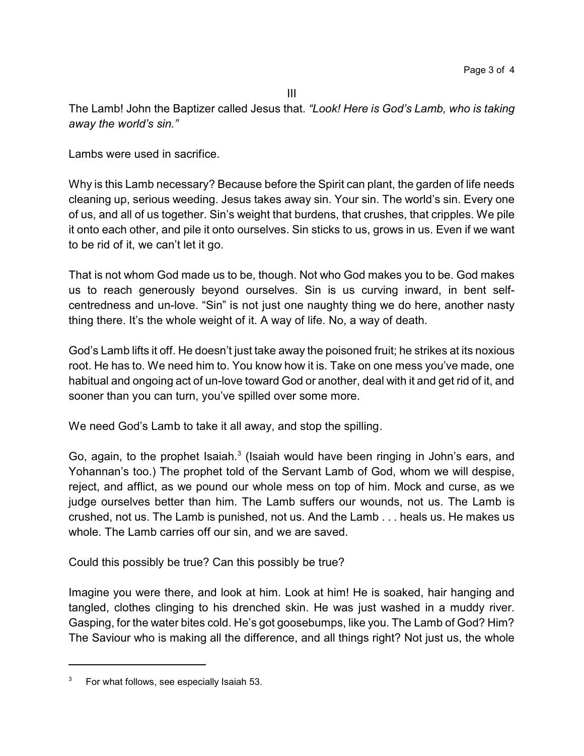The Lamb! John the Baptizer called Jesus that. *"Look! Here is God's Lamb, who is taking away the world's sin."*

Lambs were used in sacrifice.

Why is this Lamb necessary? Because before the Spirit can plant, the garden of life needs cleaning up, serious weeding. Jesus takes away sin. Your sin. The world's sin. Every one of us, and all of us together. Sin's weight that burdens, that crushes, that cripples. We pile it onto each other, and pile it onto ourselves. Sin sticks to us, grows in us. Even if we want to be rid of it, we can't let it go.

That is not whom God made us to be, though. Not who God makes you to be. God makes us to reach generously beyond ourselves. Sin is us curving inward, in bent selfcentredness and un-love. "Sin" is not just one naughty thing we do here, another nasty thing there. It's the whole weight of it. A way of life. No, a way of death.

God's Lamb lifts it off. He doesn't just take away the poisoned fruit; he strikes at its noxious root. He has to. We need him to. You know how it is. Take on one mess you've made, one habitual and ongoing act of un-love toward God or another, deal with it and get rid of it, and sooner than you can turn, you've spilled over some more.

We need God's Lamb to take it all away, and stop the spilling.

Go, again, to the prophet Isaiah. $3$  (Isaiah would have been ringing in John's ears, and Yohannan's too.) The prophet told of the Servant Lamb of God, whom we will despise, reject, and afflict, as we pound our whole mess on top of him. Mock and curse, as we judge ourselves better than him. The Lamb suffers our wounds, not us. The Lamb is crushed, not us. The Lamb is punished, not us. And the Lamb . . . heals us. He makes us whole. The Lamb carries off our sin, and we are saved.

Could this possibly be true? Can this possibly be true?

Imagine you were there, and look at him. Look at him! He is soaked, hair hanging and tangled, clothes clinging to his drenched skin. He was just washed in a muddy river. Gasping, for the water bites cold. He's got goosebumps, like you. The Lamb of God? Him? The Saviour who is making all the difference, and all things right? Not just us, the whole

 $3$  For what follows, see especially Isaiah 53.